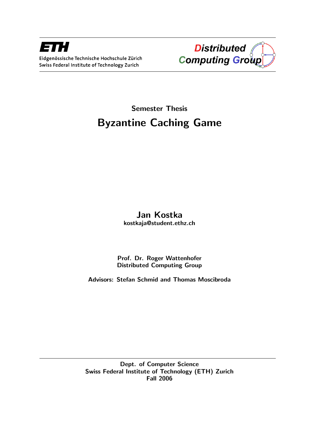



# Semester Thesis Byzantine Caching Game

# Jan Kostka kostkaja@student.ethz.ch

Prof. Dr. Roger Wattenhofer Distributed Computing Group

Advisors: Stefan Schmid and Thomas Moscibroda

Dept. of Computer Science Swiss Federal Institute of Technology (ETH) Zurich Fall 2006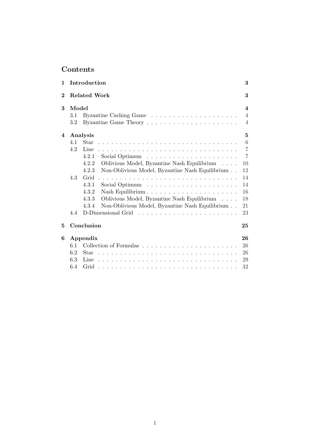# Contents

| $\mathbf{1}$ |       | Introduction                                             | 3              |  |  |  |
|--------------|-------|----------------------------------------------------------|----------------|--|--|--|
| $\bf{2}$     |       | <b>Related Work</b>                                      | 3              |  |  |  |
| 3            | Model |                                                          |                |  |  |  |
|              | 3.1   |                                                          | $\overline{4}$ |  |  |  |
|              | 3.2   |                                                          | $\overline{4}$ |  |  |  |
| 4            |       | Analysis                                                 | $\overline{5}$ |  |  |  |
|              | 4.1   | Star                                                     | 6              |  |  |  |
|              | 4.2   | Line                                                     | $\overline{7}$ |  |  |  |
|              |       | 4.2.1                                                    | $\overline{7}$ |  |  |  |
|              |       | Oblivious Model, Byzantine Nash Equilibrium<br>4.2.2     | 10             |  |  |  |
|              |       | Non-Oblivious Model, Byzantine Nash Equilibrium<br>4.2.3 | 12             |  |  |  |
|              | 4.3   | Grid                                                     | 14             |  |  |  |
|              |       | 4.3.1                                                    | 14             |  |  |  |
|              |       | 4.3.2<br>Nash Equilibrium                                | 16             |  |  |  |
|              |       | 4.3.3<br>Oblivious Model, Byzantine Nash Equilibrium     | 18             |  |  |  |
|              |       | Non-Oblivious Model, Byzantine Nash Equilibrium<br>4.3.4 | 21             |  |  |  |
|              | 4.4   | D-Dimensional Grid                                       | 23             |  |  |  |
| 5            |       | Conclusion                                               | 25             |  |  |  |
| 6            |       | Appendix                                                 | 26             |  |  |  |
|              | 6.1   |                                                          | 26             |  |  |  |
|              | 6.2   | Star                                                     | 26             |  |  |  |
|              | 6.3   | Line                                                     | 29             |  |  |  |
|              | 6.4   |                                                          | 32             |  |  |  |
|              |       |                                                          |                |  |  |  |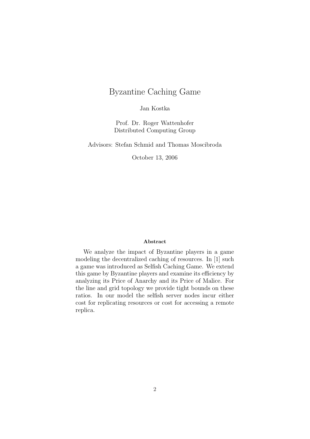# Byzantine Caching Game

Jan Kostka

Prof. Dr. Roger Wattenhofer Distributed Computing Group

Advisors: Stefan Schmid and Thomas Moscibroda

October 13, 2006

### Abstract

We analyze the impact of Byzantine players in a game modeling the decentralized caching of resources. In [1] such a game was introduced as Selfish Caching Game. We extend this game by Byzantine players and examine its efficiency by analyzing its Price of Anarchy and its Price of Malice. For the line and grid topology we provide tight bounds on these ratios. In our model the selfish server nodes incur either cost for replicating resources or cost for accessing a remote replica.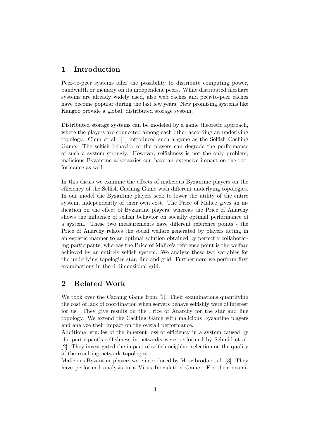## 1 Introduction

Peer-to-peer systems offer the possibility to distribute computing power, bandwidth or memory on its independent peers. While distributed fileshare systems are already widely used, also web caches and peer-to-peer caches have become popular during the last few years. New promising systems like Kangoo provide a global, distributed storage system.

Distributed storage systems can be modeled by a game theoretic approach, where the players are connected among each other according an underlying topology. Chun et al. [1] introduced such a game as the Selfish Caching Game. The selfish behavior of the players can degrade the performance of such a system strongly. However, selfishness is not the only problem, malicious Byzantine adversaries can have an extensive impact on the performance as well.

In this thesis we examine the effects of malicious Byzantine players on the efficiency of the Selfish Caching Game with different underlying topologies. In our model the Byzantine players seek to lower the utility of the entire system, independently of their own cost. The Price of Malice gives an indication on the effect of Byzantine players, whereas the Price of Anarchy shows the influence of selfish behavior on socially optimal performance of a system. These two measurements have different reference points - the Price of Anarchy relates the social welfare generated by players acting in an egoistic manner to an optimal solution obtained by perfectly collaborating participants, whereas the Price of Malice's reference point is the welfare achieved by an entirely selfish system. We analyze these two variables for the underlying topologies star, line and grid. Furthermore we perform first examinations in the d-dimensional grid.

# 2 Related Work

We took over the Caching Game from [1]. Their examinations quantifying the cost of lack of coordination when servers behave selfishly were of interest for us. They give results on the Price of Anarchy for the star and line topology. We extend the Caching Game with malicious Byzantine players and analyze their impact on the overall performance.

Additional studies of the inherent loss of efficiency in a system caused by the participant's selfishness in networks were performed by Schmid et al. [2]. They investigated the impact of selfish neighbor selection on the quality of the resulting network topologies.

Malicious Byzantine players were introduced by Moscibroda et al. [3]. They have performed analysis in a Virus Inoculation Game. For their exami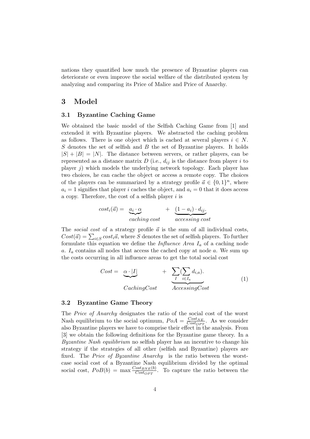nations they quantified how much the presence of Byzantine players can deteriorate or even improve the social welfare of the distributed system by analyzing and comparing its Price of Malice and Price of Anarchy.

### 3 Model

### 3.1 Byzantine Caching Game

We obtained the basic model of the Selfish Caching Game from [1] and extended it with Byzantine players. We abstracted the caching problem as follows. There is one object which is cached at several players  $i \in N$ . S denotes the set of selfish and B the set of Byzantine players. It holds  $|S| + |B| = |N|$ . The distance between servers, or rather players, can be represented as a distance matrix  $D$  (i.e.,  $d_{ij}$  is the distance from player i to player  $j$ ) which models the underlying network topology. Each player has two choices, he can cache the object or access a remote copy. The choices of the players can be summarized by a strategy profile  $\vec{a} \in \{0,1\}^n$ , where  $a_i = 1$  signifies that player i caches the object, and  $a_i = 0$  that it does access a copy. Therefore, the cost of a selfish player  $i$  is

$$
cost_i(\vec{a}) = \underbrace{a_i \cdot \alpha}_{caching \ cost} + \underbrace{(1 - a_i) \cdot d_{ij}}_{accessing \ cost}
$$

The social cost of a strategy profile  $\vec{a}$  is the sum of all individual costs, The social cost of a strategy prome a is the sum of an individual costs,<br> $Cost(\vec{a}) = \sum_{i \in S} cost_i \vec{a}$ , where S denotes the set of selfish players. To further formulate this equation we define the *Influence Area*  $I_a$  of a caching node a.  $I_a$  contains all nodes that access the cached copy at node a. We sum up the costs occurring in all influence areas to get the total social cost

$$
Cost = \underbrace{\alpha \cdot |I|}_{CachingCost} + \underbrace{\sum_{I}(\sum_{i \in I_a} d_{i,a})}_{AccessingCost}.
$$
\n(1)

### 3.2 Byzantine Game Theory

The Price of Anarchy designates the ratio of the social cost of the worst Nash equilibrium to the social optimum,  $PoA = \frac{Cost_{NE}}{Cost_{NE}}$  $\frac{Cost_{NE}}{Cost_{OPT}}$ . As we consider also Byzantine players we have to comprise their effect in the analysis. From [3] we obtain the following definitions for the Byzantine game theory. In a Byzantine Nash equilibrium no selfish player has an incentive to change his strategy if the strategies of all other (selfish and Byzantine) players are fixed. The Price of Byzantine Anarchy is the ratio between the worstcase social cost of a Byzantine Nash equilibrium divided by the optimal social cost,  $PoB(b) = \max \frac{Cost_{BNE}(b)}{Cost_{OPT}}$ . To capture the ratio between the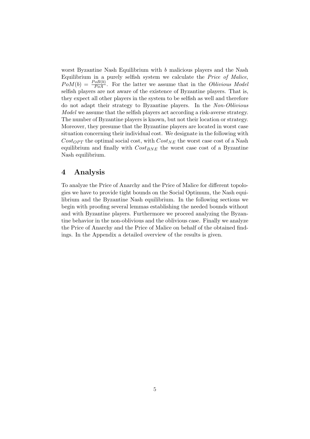worst Byzantine Nash Equilibrium with b malicious players and the Nash Equilibrium in a purely selfish system we calculate the Price of Malice,  $PoM(b) = \frac{PoB(b)}{PoA}$ . For the latter we assume that in the *Oblivious Model* selfish players are not aware of the existence of Byzantine players. That is, they expect all other players in the system to be selfish as well and therefore do not adapt their strategy to Byzantine players. In the Non-Oblivious Model we assume that the selfish players act according a risk-averse strategy. The number of Byzantine players is known, but not their location or strategy. Moreover, they presume that the Byzantine players are located in worst case situation concerning their individual cost. We designate in the following with  $Cost_{OPT}$  the optimal social cost, with  $Cost_{NE}$  the worst case cost of a Nash equilibrium and finally with  $Cost_{BNE}$  the worst case cost of a Byzantine Nash equilibrium.

## 4 Analysis

To analyze the Price of Anarchy and the Price of Malice for different topologies we have to provide tight bounds on the Social Optimum, the Nash equilibrium and the Byzantine Nash equilibrium. In the following sections we begin with proofing several lemmas establishing the needed bounds without and with Byzantine players. Furthermore we proceed analyzing the Byzantine behavior in the non-oblivious and the oblivious case. Finally we analyze the Price of Anarchy and the Price of Malice on behalf of the obtained findings. In the Appendix a detailed overview of the results is given.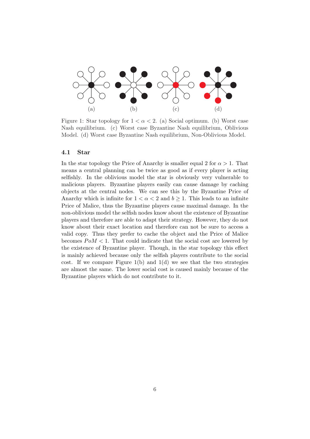

Figure 1: Star topology for  $1 < \alpha < 2$ . (a) Social optimum. (b) Worst case Nash equilibrium. (c) Worst case Byzantine Nash equilibrium, Oblivious Model. (d) Worst case Byzantine Nash equilibrium, Non-Oblivious Model.

### 4.1 Star

In the star topology the Price of Anarchy is smaller equal 2 for  $\alpha > 1$ . That means a central planning can be twice as good as if every player is acting selfishly. In the oblivious model the star is obviously very vulnerable to malicious players. Byzantine players easily can cause damage by caching objects at the central nodes. We can see this by the Byzantine Price of Anarchy which is infinite for  $1 < \alpha < 2$  and  $b \ge 1$ . This leads to an infinite Price of Malice, thus the Byzantine players cause maximal damage. In the non-oblivious model the selfish nodes know about the existence of Byzantine players and therefore are able to adapt their strategy. However, they do not know about their exact location and therefore can not be sure to access a valid copy. Thus they prefer to cache the object and the Price of Malice becomes  $PoM < 1$ . That could indicate that the social cost are lowered by the existence of Byzantine player. Though, in the star topology this effect is mainly achieved because only the selfish players contribute to the social cost. If we compare Figure 1(b) and 1(d) we see that the two strategies are almost the same. The lower social cost is caused mainly because of the Byzantine players which do not contribute to it.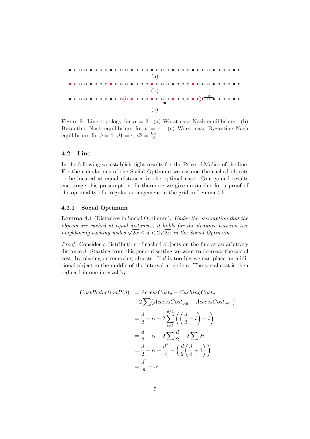

Figure 2: Line topology for  $\alpha = 2$ . (a) Worst case Nash equilibrium. (b) Byzantine Nash equilibrium for  $b = 4$ . (c) Worst case Byzantine Nash equilibrium for  $b = 4$ .  $d1 = \alpha$ ,  $d2 = \frac{b \cdot \alpha}{2}$ .

### 4.2 Line

In the following we establish tight results for the Price of Malice of the line. For the calculations of the Social Optimum we assume the cached objects to be located at equal distances in the optimal case. Our gained results encourage this presumption, furthermore we give an outline for a proof of the optimality of a regular arrangement in the grid in Lemma 4.5.

### 4.2.1 Social Optimum

Lemma 4.1 (Distances in Social Optimum). Under the assumption that the objects are cached at equal distances, it holds for the distance between two *oojects are cached at equal assances, it holds for the assance betwee* neighboring caching nodes  $\sqrt{2\alpha} \leq d < 2\sqrt{2\alpha}$  in the Social Optimum.

Proof. Consider a distribution of cached objects on the line at an arbitrary distance d. Starting from this general setting we want to decrease the social cost, by placing or removing objects. If d is too big we can place an additional object in the middle of the interval at node a. The social cost is then reduced in one interval by

$$
CostReductionP(d) = AccessCost_a - CachingCost_a
$$
  
+2 $\sum$  (AccessCost<sub>old</sub> - AccessCost<sub>new</sub>)  
=  $\frac{d}{2} - \alpha + 2 \sum_{i=1}^{d/4} \left( \left( \frac{d}{2} - i \right) - i \right)$   
=  $\frac{d}{2} - \alpha + 2 \sum_{i=1}^{d} \frac{d}{2} - 2 \sum_{i=1}^{d} 2i$   
=  $\frac{d}{2} - \alpha + \frac{d^2}{4} - \left( \frac{d}{2} \left( \frac{d}{4} + 1 \right) \right)$   
=  $\frac{d^2}{8} - \alpha$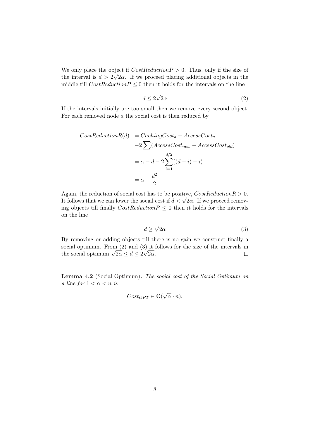We only place the object if  $CostReductionP > 0$ . Thus, only if the size of the interval is  $d > 2\sqrt{2\alpha}$ . If we proceed placing additional objects in the middle till  $CostReductionP \leq 0$  then it holds for the intervals on the line

$$
d \le 2\sqrt{2\alpha} \tag{2}
$$

If the intervals initially are too small then we remove every second object. For each removed node  $a$  the social cost is then reduced by

$$
CostReductionR(d) = CachingCost_a - AccessCost_a
$$
  
\n
$$
-2 \sum (AccessCost_{new} - AccessCost_{old})
$$
  
\n
$$
= \alpha - d - 2 \sum_{i=1}^{d/2} ((d-i) - i)
$$
  
\n
$$
= \alpha - \frac{d^2}{2}
$$

Again, the reduction of social cost has to be positive,  $CostReductionR > 0$ . Again, the reduction of social cost has to be positive, Cost Reduction  $\kappa > 0$ .<br>It follows that we can lower the social cost if  $d < \sqrt{2\alpha}$ . If we proceed removing objects till finally  $CostReductionP \leq 0$  then it holds for the intervals on the line

$$
d \ge \sqrt{2\alpha} \tag{3}
$$

By removing or adding objects till there is no gain we construct finally a social optimum. From  $(2)$  and  $(3)$  it follows for the size of the intervals in social optimum. From (2) and (3) it is<br>the social optimum  $\sqrt{2\alpha} \leq d \leq 2\sqrt{2\alpha}$ .  $\Box$ 

Lemma 4.2 (Social Optimum). The social cost of the Social Optimum on a line for  $1 < \alpha < n$  is

$$
Cost_{OPT} \in \Theta(\sqrt{\alpha} \cdot n).
$$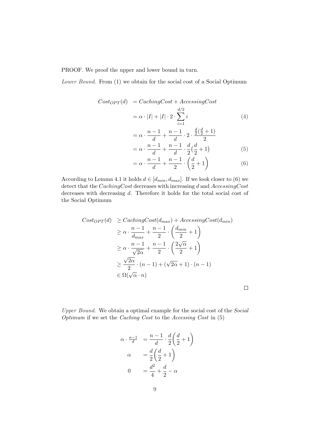PROOF. We proof the upper and lower bound in turn.

Lower Bound. From (1) we obtain for the social cost of a Social Optimum

$$
Cost_{OPT}(d) = CachingCost + AccessingCost
$$

$$
= \alpha \cdot |I| + |I| \cdot 2 \cdot \sum_{i=1}^{d/2} i \tag{4}
$$

$$
n - 1 \quad n - 1 \quad \frac{d}{2}(\frac{d}{2} + 1)
$$

$$
= \alpha \cdot \frac{n-1}{d} + \frac{n-1}{d} \cdot 2 \cdot \frac{\frac{d}{2}(\frac{d}{2}+1)}{2}
$$
  
=  $\alpha \cdot \frac{n-1}{d} + \frac{n-1}{d} \cdot \frac{d}{2}(\frac{d}{2}+1)$  (5)

$$
= \alpha \cdot \frac{n-1}{d} + \frac{n-1}{2} \cdot \left(\frac{d}{2} + 1\right) \tag{6}
$$

According to Lemma 4.1 it holds  $d \in [d_{min}, d_{max}]$ . If we look closer to (6) we detect that the CachingCost decreases with increasing d and AccessingCost decreases with decreasing d. Therefore it holds for the total social cost of the Social Optimum

$$
Cost_{OPT}(d) \geq CachingCost(d_{max}) + AccessingCost(d_{min})
$$
  
\n
$$
\geq \alpha \cdot \frac{n-1}{d_{max}} + \frac{n-1}{2} \cdot \left(\frac{d_{min}}{2} + 1\right)
$$
  
\n
$$
\geq \alpha \cdot \frac{n-1}{\sqrt{2\alpha}} + \frac{n-1}{2} \cdot \left(\frac{2\sqrt{\alpha}}{2} + 1\right)
$$
  
\n
$$
\geq \frac{\sqrt{2\alpha}}{2} \cdot (n-1) + (\sqrt{2\alpha} + 1) \cdot (n-1)
$$
  
\n
$$
\in \Omega(\sqrt{\alpha} \cdot n)
$$

 $\Box$ 

Upper Bound. We obtain a optimal example for the social cost of the Social Optimum if we set the Caching Cost to the Accessing Cost in (5)

$$
\alpha \cdot \frac{n-1}{d} = \frac{n-1}{d} \cdot \frac{d}{2} \left(\frac{d}{2} + 1\right)
$$

$$
\alpha = \frac{d}{2} \left(\frac{d}{2} + 1\right)
$$

$$
0 = \frac{d^2}{4} + \frac{d}{2} - \alpha
$$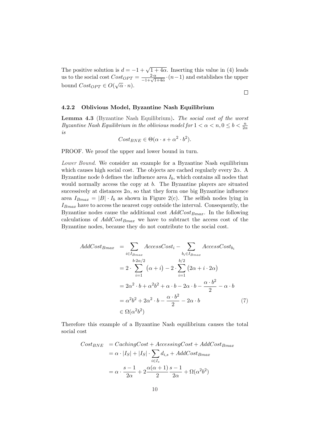The positive solution is  $d = -1 + \sqrt{1 + 4\alpha}$ . Inserting this value in (4) leads us to the social cost  $Cost_{OPT} = \frac{2 \cdot \alpha}{-1 + \sqrt{1+4\alpha}} \cdot (n-1)$  and establishes the upper bound  $Cost_{OPT} \in O(\sqrt{\alpha} \cdot n)$ . √

 $\Box$ 

### 4.2.2 Oblivious Model, Byzantine Nash Equilibrium

Lemma 4.3 (Byzantine Nash Equilibrium). The social cost of the worst Byzantine Nash Equilibrium in the oblivious model for  $1 < \alpha < n, 0 \le b < \frac{n}{2\alpha}$ is

$$
Cost_{BNE} \in \Theta(\alpha \cdot s + \alpha^2 \cdot b^2).
$$

PROOF. We proof the upper and lower bound in turn.

Lower Bound. We consider an example for a Byzantine Nash equilibrium which causes high social cost. The objects are cached regularly every  $2\alpha$ . A Byzantine node  $b$  defines the influence area  $I<sub>b</sub>$ , which contains all nodes that would normally access the copy at b. The Byzantine players are situated successively at distances  $2\alpha$ , so that they form one big Byzantine influence area  $I_{Bmax} = |B| \cdot I_b$  as shown in Figure 2(c). The selfish nodes lying in  $I_{Bmax}$  have to access the nearest copy outside the interval. Consequently, the Byzantine nodes cause the additional cost  $AddCost_{Bmax}$ . In the following calculations of  $AddCost_{Bmax}$  we have to subtract the access cost of the Byzantine nodes, because they do not contribute to the social cost.

$$
AddCost_{Bmax} = \sum_{i \in I_{Bmax}} AccessCost_i - \sum_{b_i \in I_{Bmax}} AccessCost_{b_i}
$$
  
=  $2 \cdot \sum_{i=1}^{b \cdot 2\alpha/2} (\alpha + i) - 2 \cdot \sum_{i=1}^{b/2} (2\alpha + i \cdot 2\alpha)$   
=  $2\alpha^2 \cdot b + \alpha^2 b^2 + \alpha \cdot b - 2\alpha \cdot b - \frac{\alpha \cdot b^2}{2} - \alpha \cdot b$   
=  $\alpha^2 b^2 + 2\alpha^2 \cdot b - \frac{\alpha \cdot b^2}{2} - 2\alpha \cdot b$  (7)  
 $\in \Omega(\alpha^2 b^2)$ 

Therefore this example of a Byzantine Nash equilibrium causes the total social cost

$$
Cost_{BNE} = CachingCost + AccessingCost + AddCost_{Bmax}
$$
  
=  $\alpha \cdot |I_S| + |I_S| \cdot \sum_{i \in I_s} d_{i,s} + AddCost_{Bmax}$   
=  $\alpha \cdot \frac{s-1}{2\alpha} + 2\frac{\alpha(\alpha+1)}{2} \frac{s-1}{2\alpha} + \Omega(\alpha^2 b^2)$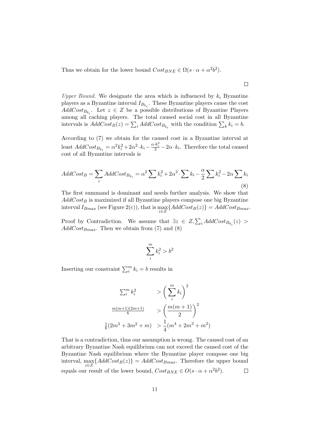Thus we obtain for the lower bound  $Cost_{BNE} \in \Omega(s \cdot \alpha + \alpha^2 b^2)$ .

Upper Bound. We designate the area which is influenced by  $k_i$  Byzantine players as a Byzantine interval  $I_{B_{k_i}}$ . These Byzantine players cause the cost  $AddCost_{B_{k_i}}$ . Let  $z \in \mathbb{Z}$  be a possible distributions of Byzantine Players among all caching players. The total caused social cost in all Byzantine among an cacning players. The total caused social cost in an Byzantin<br>intervals is  $AddCost_B(z) = \sum_i AddCost_{B_{k_i}}$  with the condition  $\sum_k k_i = b$ .

According to (7) we obtain for the caused cost in a Byzantine interval at least  $AddCost_{B_{k_i}} = \alpha^2 k_i^2 + 2\alpha^2 \cdot k_i - \frac{\alpha \cdot k_i^2}{2} - 2\alpha \cdot k_i$ . Therefore the total caused cost of all Byzantine intervals is

$$
AddCost_B = \sum_{i} AddCost_{B_{k_i}} = \alpha^2 \sum k_i^2 + 2\alpha^2 \cdot \sum k_i - \frac{\alpha}{2} \sum k_i^2 - 2\alpha \sum k_i
$$
\n(8)

The first summand is dominant and needs further analysis. We show that  $AddCost_B$  is maximized if all Byzantine players compose one big Byzantine interval  $I_{Bmax}$  (see Figure 2(c)), that is  $\max_{z \in Z} \{AddCost_B(z)\} = AddCost_{Bmax}.$ 

Proof by Contradiction. We assume that  $\exists z \in Z, \sum_i AddCost_{B_{k_i}}(z) >$  $AddCost_{Bmax}$ . Then we obtain from (7) and (8)

$$
\sum_i^m k_i^2 > b^2
$$

Inserting our constraint  $\sum_{i=1}^{m} k_i = b$  results in

$$
\sum_{i=0}^{m} k_{i}^{2} \longrightarrow \left(\sum_{i=0}^{m} k_{i}\right)^{2}
$$

$$
\frac{m(m+1)(2m+1)}{6} \longrightarrow \left(\frac{m(m+1)}{2}\right)^{2}
$$

$$
\frac{1}{6}(2m^{3} + 3m^{2} + m) \longrightarrow \frac{1}{4}(m^{4} + 2m^{3} + m^{2})
$$

That is a contradiction, thus our assumption is wrong. The caused cost of an arbitrary Byzantine Nash equilibrium can not exceed the caused cost of the Byzantine Nash equilibrium where the Byzantine player compose one big interval,  $\max_{\mathbf{z}} \{AddCost_B(z)\} = AddCost_{Bmax}$ . Therefore the upper bound z∈Z equals our result of the lower bound,  $Cost_{BNE} \in O(s \cdot \alpha + \alpha^2 b^2)$ .  $\Box$ 

 $\Box$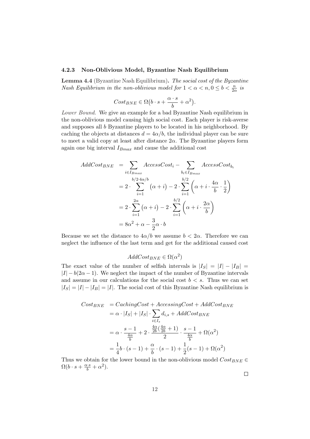#### 4.2.3 Non-Oblivious Model, Byzantine Nash Equilibrium

Lemma 4.4 (Byzantine Nash Equilibrium). The social cost of the Byzantine Nash Equilibrium in the non-oblivious model for  $1 < \alpha < n, 0 \le b < \frac{n}{2\alpha}$  is

$$
Cost_{BNE} \in \Omega(b \cdot s + \frac{\alpha \cdot s}{b} + \alpha^2).
$$

Lower Bound. We give an example for a bad Byzantine Nash equilibrium in the non-oblivious model causing high social cost. Each player is risk-averse and supposes all b Byzantine players to be located in his neighborhood. By caching the objects at distances  $d = 4\alpha/b$ , the individual player can be sure to meet a valid copy at least after distance  $2\alpha$ . The Byzantine players form again one big interval  $I_{Bmax}$  and cause the additional cost

$$
AddCost_{BNE} = \sum_{i \in I_{Bmax}} AccessCost_i - \sum_{b_i \in I_{Bmax}} AccessCost_{b_i}
$$
  
=  $2 \cdot \sum_{i=1}^{b/2 \cdot 4\alpha/b} (\alpha + i) - 2 \cdot \sum_{i=1}^{b/2} (\alpha + i \cdot \frac{4\alpha}{b} \cdot \frac{1}{2})$   
=  $2 \cdot \sum_{i=1}^{2\alpha} (\alpha + i) - 2 \cdot \sum_{i=1}^{b/2} (\alpha + i \cdot \frac{2\alpha}{b})$   
=  $8\alpha^2 + \alpha - \frac{3}{2}\alpha \cdot b$ 

Because we set the distance to  $4\alpha/b$  we assume  $b < 2\alpha$ . Therefore we can neglect the influence of the last term and get for the additional caused cost

$$
AddCost_{BNE} \in \Omega(\alpha^2)
$$

The exact value of the number of selfish intervals is  $|I_S| = |I| - |I_B|$  $|I| - b(2\alpha - 1)$ . We neglect the impact of the number of Byzantine intervals and assume in our calculations for the social cost  $b < s$ . Thus we can set  $|I_S| = |I| - |I_B| = |I|$ . The social cost of this Byzantine Nash equilibrium is

$$
Cost_{BNE} = CachingCost + AccessingCost + AddCost_{BNE}
$$
  
=  $\alpha \cdot |I_S| + |I_S| \cdot \sum_{i \in I_s} d_{i,s} + AddCost_{BNE}$   
=  $\alpha \cdot \frac{s-1}{\frac{4\alpha}{b}} + 2 \cdot \frac{\frac{4\alpha}{2b}(\frac{4\alpha}{2b} + 1)}{2} \cdot \frac{s-1}{\frac{4\alpha}{b}} + \Omega(\alpha^2)$   
=  $\frac{1}{4}b \cdot (s-1) + \frac{\alpha}{b} \cdot (s-1) + \frac{1}{2}(s-1) + \Omega(\alpha^2)$ 

Thus we obtain for the lower bound in the non-oblivious model  $Cost_{BNE} \in$  $\Omega(b \cdot s + \frac{\alpha \cdot s}{b} + \alpha^2).$ 

 $\Box$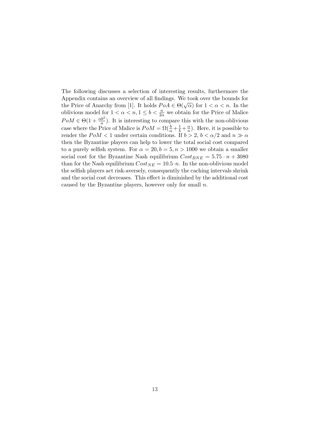The following discusses a selection of interesting results, furthermore the Appendix contains an overview of all findings. We took over the bounds for Appendix contains an overview of an indiffused by two over the bounds for the Price of Anarchy from [1]. It holds  $PoA \in \Theta(\sqrt{\alpha})$  for  $1 < \alpha < n$ . In the oblivious model for  $1 < \alpha < n, 1 \leq b < \frac{n}{2\alpha}$  we obtain for the Price of Malice  $PoM \in \Theta(1+\frac{\alpha b^2}{n})$ . It is interesting to compare this with the non-oblivious case where the Price of Malice is  $PoM = \Omega(\frac{b}{\alpha} + \frac{1}{b} + \frac{\alpha}{n})$  $\frac{\alpha}{n}$ ). Here, it is possible to render the  $PoM < 1$  under certain conditions. If  $b > 2$ ,  $b < \alpha/2$  and  $n \gg \alpha$ then the Byzantine players can help to lower the total social cost compared to a purely selfish system. For  $\alpha = 20, b = 5, n > 1000$  we obtain a smaller social cost for the Byzantine Nash equilibrium  $Cost_{BNE} = 5.75 \cdot n + 3080$ than for the Nash equilibrium  $Cost_{NE} = 10.5 \cdot n$ . In the non-oblivious model the selfish players act risk-aversely, consequently the caching intervals shrink and the social cost decreases. This effect is diminished by the additional cost caused by the Byzantine players, however only for small  $n$ .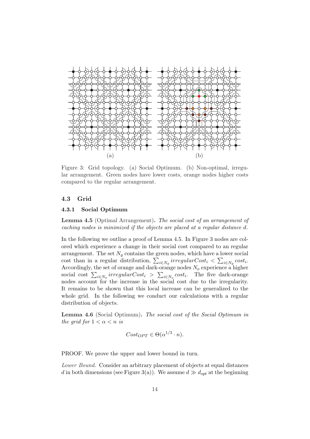

Figure 3: Grid topology. (a) Social Optimum. (b) Non-optimal, irregular arrangement. Green nodes have lower costs, orange nodes higher costs compared to the regular arrangement.

### 4.3 Grid

### 4.3.1 Social Optimum

Lemma 4.5 (Optimal Arrangement). The social cost of an arrangement of caching nodes is minimized if the objects are placed at a regular distance d.

In the following we outline a proof of Lemma 4.5. In Figure 3 nodes are colored which experience a change in their social cost compared to an regular arrangement. The set  $N_g$  contains the green nodes, which have a lower social arrangement. The set  $N_g$  contains the green hodes, which have a lower social cost than in a regular distribution,  $\sum_{i \in N_g} irregularCost_i < \sum_{i \in N_g} cost_i$ . Accordingly, the set of orange and dark-orange nodes  $N_o$  experience a higher Accordingly, the set of orange and dark-orange hodes  $N_o$  experience a higher social cost  $\sum_{i \in N_o} irregularCost_i > \sum_{i \in N_o} cost_i$ . The five dark-orange nodes account for the increase in the social cost due to the irregularity. It remains to be shown that this local increase can be generalized to the whole grid. In the following we conduct our calculations with a regular distribution of objects.

Lemma 4.6 (Social Optimum). The social cost of the Social Optimum in the grid for  $1 < \alpha < n$  is

$$
Cost_{OPT} \in \Theta(\alpha^{1/3} \cdot n).
$$

PROOF. We prove the upper and lower bound in turn.

Lower Bound. Consider an arbitrary placement of objects at equal distances d in both dimensions (see Figure 3(a)). We assume  $d \gg d_{opt}$  at the beginning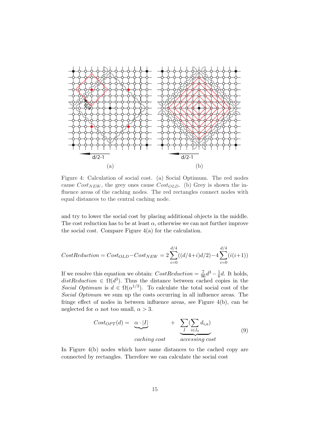

Figure 4: Calculation of social cost. (a) Social Optimum. The red nodes cause  $Cost_{NEW}$ , the grey ones cause  $Cost_{OLD}$ . (b) Grey is shown the influence areas of the caching nodes. The red rectangles connect nodes with equal distances to the central caching node.

and try to lower the social cost by placing additional objects in the middle. The cost reduction has to be at least  $\alpha$ , otherwise we can not further improve the social cost. Compare Figure 4(a) for the calculation.

$$
CostReduction = Cost_{OLD} - Cost_{NEW} = 2\sum_{i=0}^{d/4} ((d/4+i)d/2) - 4\sum_{i=0}^{d/4} (i(i+1))
$$

If we resolve this equation we obtain:  $CostReduction = \frac{7}{96}d^3 - \frac{1}{6}$  $\frac{1}{6}d$ . It holds, distReduction  $\in \Omega(d^3)$ . Thus the distance between cached copies in the Social Optimum is  $d \in \Omega(\alpha^{1/3})$ . To calculate the total social cost of the Social Optimum we sum up the costs occurring in all influence areas. The fringe effect of nodes in between influence areas, see Figure 4(b), can be neglected for  $\alpha$  not too small,  $\alpha > 3$ .

$$
Cost_{OPT}(d) = \underbrace{\alpha \cdot |I|}_{\text{caching cost}} + \underbrace{\sum_{I}(\sum_{i \in I_a} d_{i,a})}_{\text{accessing cost}}
$$
\n(9)

In Figure 4(b) nodes which have same distances to the cached copy are connected by rectangles. Therefore we can calculate the social cost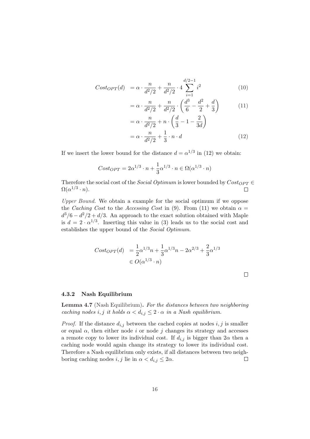$$
Cost_{OPT}(d) = \alpha \cdot \frac{n}{d^2/2} + \frac{n}{d^2/2} \cdot 4 \sum_{i=1}^{d/2-1} i^2
$$
 (10)

$$
= \alpha \cdot \frac{n}{d^2/2} + \frac{n}{d^2/2} \cdot \left(\frac{d^3}{6} - \frac{d^2}{2} + \frac{d}{3}\right) \tag{11}
$$

$$
= \alpha \cdot \frac{n}{d^2/2} + n \cdot \left(\frac{d}{3} - 1 - \frac{2}{3d}\right)
$$

$$
= \alpha \cdot \frac{n}{d^2/2} + \frac{1}{3} \cdot n \cdot d \qquad (12)
$$

If we insert the lower bound for the distance  $d = \alpha^{1/3}$  in (12) we obtain:

$$
Cost_{OPT} = 2\alpha^{1/3} \cdot n + \frac{1}{3}\alpha^{1/3} \cdot n \in \Omega(\alpha^{1/3} \cdot n)
$$

Therefore the social cost of the *Social Optimum* is lower bounded by  $Cost_{OPT} \in$  $\Omega(\alpha^{1/3}\cdot n).$  $\Box$ 

Upper Bound. We obtain a example for the social optimum if we oppose the Caching Cost to the Accessing Cost in (9). From (11) we obtain  $\alpha =$  $d^3/6 - d^2/2 + d/3$ . An approach to the exact solution obtained with Maple is  $d = 2 \cdot \alpha^{1/3}$ . Inserting this value in (3) leads us to the social cost and establishes the upper bound of the Social Optimum.

$$
Cost_{OPT}(d) = \frac{1}{2}\alpha^{1/3}n + \frac{1}{3}\alpha^{1/3}n - 2\alpha^{2/3} + \frac{2}{3}\alpha^{1/3}
$$
  

$$
\in O(\alpha^{1/3} \cdot n)
$$

#### 4.3.2 Nash Equilibrium

Lemma 4.7 (Nash Equilibrium). For the distances between two neighboring caching nodes i, j it holds  $\alpha < d_{i,j} \leq 2 \cdot \alpha$  in a Nash equilibrium.

*Proof.* If the distance  $d_{i,j}$  between the cached copies at nodes  $i, j$  is smaller or equal  $\alpha$ , then either node i or node j changes its strategy and accesses a remote copy to lower its individual cost. If  $d_{i,j}$  is bigger than  $2\alpha$  then a caching node would again change its strategy to lower its individual cost. Therefore a Nash equilibrium only exists, if all distances between two neighboring caching nodes  $i, j$  lie in  $\alpha < d_{i,j} \leq 2\alpha$ .  $\Box$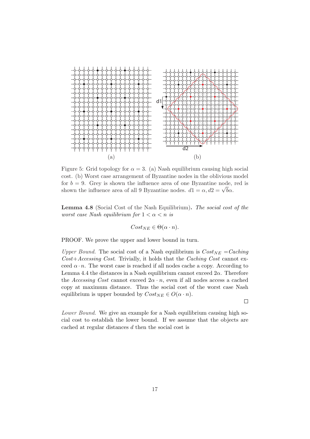

Figure 5: Grid topology for  $\alpha = 3$ . (a) Nash equilibrium causing high social cost. (b) Worst case arrangement of Byzantine nodes in the oblivious model for  $b = 9$ . Grey is shown the influence area of one Byzantine node, red is for  $\delta = 9$ . Grey is shown the influence area of one Byzantine node,<br>shown the influence area of all 9 Byzantine nodes.  $d1 = \alpha, d2 = \sqrt{b\alpha}$ .

Lemma 4.8 (Social Cost of the Nash Equilibrium). The social cost of the worst case Nash equilibrium for  $1 < \alpha < n$  is

$$
Cost_{NE} \in \Theta(\alpha \cdot n).
$$

PROOF. We prove the upper and lower bound in turn.

Upper Bound. The social cost of a Nash equilibrium is  $Cost_{NE} = Caching$  $Cost+Accessing Cost.$  Trivially, it holds that the Caching Cost cannot exceed  $\alpha \cdot n$ . The worst case is reached if all nodes cache a copy. According to Lemma 4.4 the distances in a Nash equilibrium cannot exceed  $2\alpha$ . Therefore the Accessing Cost cannot exceed  $2\alpha \cdot n$ , even if all nodes access a cached copy at maximum distance. Thus the social cost of the worst case Nash equilibrium is upper bounded by  $Cost_{NE} \in O(\alpha \cdot n)$ .

 $\Box$ 

Lower Bound. We give an example for a Nash equilibrium causing high social cost to establish the lower bound. If we assume that the objects are cached at regular distances d then the social cost is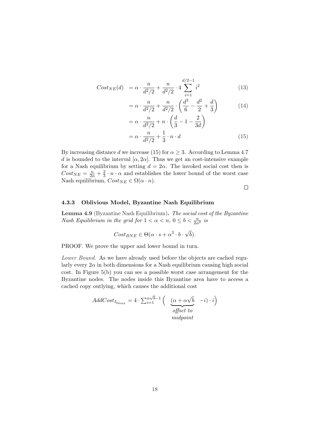$$
Cost_{NE}(d) = \alpha \cdot \frac{n}{d^2/2} + \frac{n}{d^2/2} \cdot 4 \sum_{i=1}^{d/2-1} i^2
$$
 (13)

$$
= \alpha \cdot \frac{n}{d^2/2} + \frac{n}{d^2/2} \cdot \left(\frac{d^3}{6} - \frac{d^2}{2} + \frac{d}{3}\right) \tag{14}
$$

$$
= \alpha \cdot \frac{n}{d^2/2} + n \cdot \left(\frac{d}{3} - 1 - \frac{2}{3d}\right)
$$

$$
= \alpha \cdot \frac{n}{d^2/2} + \frac{1}{3} \cdot n \cdot d \tag{15}
$$

By increasing distance d we increase (15) for  $\alpha \geq 3$ . According to Lemma 4.7 d is bounded to the interval  $[\alpha, 2\alpha]$ . Thus we get an cost-intensive example for a Nash equilibrium by setting  $d = 2\alpha$ . The invoked social cost then is  $Cost_{NE} = \frac{n}{2\alpha} + \frac{2}{3}$  $\frac{2}{3} \cdot n \cdot \alpha$  and establishes the lower bound of the worst case Nash equilibrium,  $Cost_{NE} \in \Omega(\alpha \cdot n)$ .

 $\Box$ 

### 4.3.3 Oblivious Model, Byzantine Nash Equilibrium

Lemma 4.9 (Byzantine Nash Equilibrium). The social cost of the Byzantine Nash Equilibrium in the grid for  $1 < \alpha < n$ ,  $0 \le b < \frac{n}{2\alpha^2}$  is

$$
Cost_{BNE} \in \Theta(\alpha \cdot s + \alpha^3 \cdot b \cdot \sqrt{b}).
$$

PROOF. We prove the upper and lower bound in turn.

Lower Bound. As we have already used before the objects are cached regularly every  $2\alpha$  in both dimensions for a Nash equilibrium causing high social cost. In Figure 5(b) you can see a possible worst case arrangement for the Byzantine nodes. The nodes inside this Byzantine area have to access a cached copy outlying, which causes the additional cost

$$
AddCost_{I_{b_{max}}} = 4 \cdot \sum_{i=1}^{\alpha \sqrt{b}-1} \left( \underbrace{(\alpha + \alpha \sqrt{b})}_{offset \ to} -i) \cdot i \right)
$$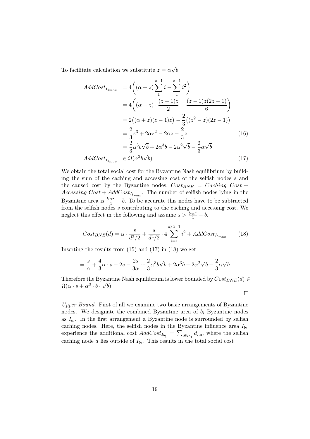To facilitate calculation we substitute  $z = \alpha$ √ b

$$
AddCost_{I_{b_{max}}} = 4\left((\alpha + z)\sum_{1}^{z-1} i - \sum_{1}^{z-1} i^{2}\right)
$$
  
\n
$$
= 4\left((\alpha + z)\cdot \frac{(z-1)z}{2} - \frac{(z-1)z(2z-1)}{6}\right)
$$
  
\n
$$
= 2((\alpha + z)(z-1)z) - \frac{2}{3}((z^{2} - z)(2z-1))
$$
  
\n
$$
= \frac{2}{3}z^{3} + 2\alpha z^{2} - 2\alpha z - \frac{2}{3}z
$$
(16)  
\n
$$
= \frac{2}{3}\alpha^{3}b\sqrt{b} + 2\alpha^{3}b - 2\alpha^{2}\sqrt{b} - \frac{2}{3}\alpha\sqrt{b}
$$
  
\n
$$
AddCost_{I_{b_{max}}} \in \Omega(\alpha^{3}b\sqrt{b})
$$
(17)

We obtain the total social cost for the Byzantine Nash equilibrium by building the sum of the caching and accessing cost of the selfish nodes s and the caused cost by the Byzantine nodes,  $Cost_{BNE} = Caching\ Cost +$ Accessing  $Cost + AddCost_{I_{bmax}}$ . The number of selfish nodes lying in the Byzantine area is  $\frac{b \cdot \alpha^2}{4} - b$ . To be accurate this nodes have to be subtracted from the selfish nodes s contributing to the caching and accessing cost. We neglect this effect in the following and assume  $s > \frac{b \cdot \alpha^2}{4} - b$ .

$$
Cost_{BNE}(d) = \alpha \cdot \frac{s}{d^2/2} + \frac{s}{d^2/2} \cdot 4 \sum_{i=1}^{d/2-1} i^2 + AddCost_{I_{bmax}} \tag{18}
$$

Inserting the results from  $(15)$  and  $(17)$  in  $(18)$  we get

$$
= \frac{s}{\alpha} + \frac{4}{3}\alpha \cdot s - 2s - \frac{2s}{3\alpha} + \frac{2}{3}\alpha^3 b\sqrt{b} + 2\alpha^3 b - 2\alpha^2 \sqrt{b} - \frac{2}{3}\alpha\sqrt{b}
$$

Therefore the Byzantine Nash equilibrium is lower bounded by  $Cost_{BNE}(d) \in$  $\Omega(\alpha\cdot s+\alpha^3\cdot b\cdot\sqrt{b})$ 

 $\Box$ 

Upper Bound. First of all we examine two basic arrangements of Byzantine nodes. We designate the combined Byzantine area of  $b_i$  Byzantine nodes as  $I_{b_i}$ . In the first arrangement a Byzantine node is surrounded by selfish caching nodes. Here, the selfish nodes in the Byzantine influence area  $I_{b_1}$ experience the additional cost  $AddCost_{I_{b_1}} = \sum_{i \in I_{b_1}} d_{i,a}$ , where the selfish caching node a lies outside of  $I_{b_1}$ . This results in the total social cost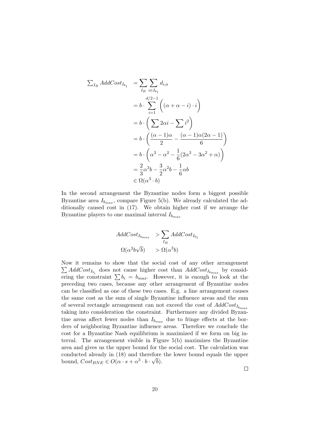$$
\sum_{I_B} AddCost_{I_{b_1}} = \sum_{I_B} \sum_{i \in I_{b_1}} d_{i,a}
$$
  
=  $b \cdot \sum_{i=1}^{d/2-1} \left( (\alpha + \alpha - i) \cdot i \right)$   
=  $b \cdot \left( \sum 2\alpha i - \sum i^2 \right)$   
=  $b \cdot \left( \frac{(\alpha - 1)\alpha}{2} - \frac{(\alpha - 1)\alpha(2\alpha - 1)}{6} \right)$   
=  $b \cdot \left( \alpha^3 - \alpha^2 - \frac{1}{6}(2\alpha^3 - 3\alpha^2 + \alpha) \right)$   
=  $\frac{2}{3} \alpha^3 b - \frac{3}{2} \alpha^2 b - \frac{1}{6} \alpha b$   
 $\in \Omega(\alpha^3 \cdot b)$ 

In the second arrangement the Byzantine nodes form a biggest possible Byzantine area  $I_{b_{max}}$ , compare Figure 5(b). We already calculated the additionally caused cost in (17). We obtain higher cost if we arrange the Byzantine players to one maximal interval  $I_{b_{max}}$ 

$$
AddCost_{I_{b_{max}}} > \sum_{I_B} AddCost_{I_{b_1}}\Omega(\alpha^3 b \sqrt{b}) > \Omega(\alpha^3 b)
$$

Now it remains to show that the social cost of any other arrangement Now it remains to show that the social cost of any other arrangement  $\sum AddCost_{I_{b_i}}$  does not cause higher cost than  $AddCost_{I_{b_{max}}}$  by considering the constraint  $\sum b_i = b_{max}$ . However, it is enough to look at the preceding two cases, because any other arrangement of Byzantine nodes can be classified as one of these two cases. E.g. a line arrangement causes the same cost as the sum of single Byzantine influence areas and the sum of several rectangle arrangement can not exceed the cost of  $AddCost_{I_{bmax}}$ taking into consideration the constraint. Furthermore any divided Byzantine areas affect fewer nodes than  $I_{b_{max}}$  due to fringe effects at the borders of neighboring Byzantine influence areas. Therefore we conclude the cost for a Byzantine Nash equilibrium is maximized if we form on big interval. The arrangement visible in Figure 5(b) maximizes the Byzantine area and gives us the upper bound for the social cost. The calculation was conducted already in  $(18)$  and therefore the lower bound equals the upper bound,  $Cost_{BNE} \in O(\alpha \cdot s + \alpha^3 \cdot b \cdot \sqrt{b}).$ 

 $\Box$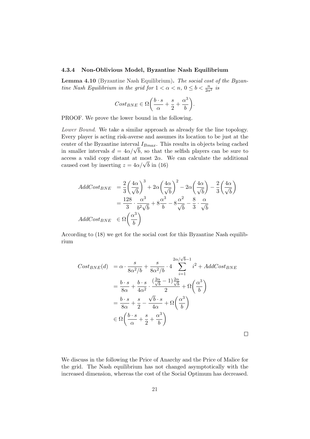#### 4.3.4 Non-Oblivious Model, Byzantine Nash Equilibrium

Lemma 4.10 (Byzantine Nash Equilibrium). The social cost of the Byzantine Nash Equilibrium in the grid for  $1 < \alpha < n$ ,  $0 \leq b < \frac{n}{2\alpha^2}$  is

$$
Cost_{BNE} \in \Omega \left( \frac{b \cdot s}{\alpha} + \frac{s}{2} + \frac{\alpha^3}{b} \right).
$$

PROOF. We prove the lower bound in the following.

Lower Bound. We take a similar approach as already for the line topology. Every player is acting risk-averse and assumes its location to be just at the center of the Byzantine interval  $I_{Bmax}$ . This results in objects being cached center of the Byzantine interval  $I_{Bmax}$ . I his results in objects being cached<br>in smaller intervals  $d = 4\alpha/\sqrt{b}$ , so that the selfish players can be sure to access a valid copy distant at most  $2\alpha$ . We can calculate the additional access a valid copy distant at most  $2\alpha$ .<br>caused cost by inserting  $z = 4\alpha/\sqrt{b}$  in (16)

$$
AddCost_{BNE} = \frac{2}{3} \left(\frac{4\alpha}{\sqrt{b}}\right)^3 + 2\alpha \left(\frac{4\alpha}{\sqrt{b}}\right)^2 - 2\alpha \left(\frac{4\alpha}{\sqrt{b}}\right) - \frac{2}{3} \left(\frac{4\alpha}{\sqrt{b}}\right)
$$

$$
= \frac{128}{3} \cdot \frac{\alpha^3}{b^2 \sqrt{b}} + 8\frac{\alpha^3}{b} - 8\frac{\alpha^2}{\sqrt{b}} - \frac{8}{3} \cdot \frac{\alpha}{\sqrt{b}}
$$

$$
AddCost_{BNE} \in \Omega\left(\frac{\alpha^3}{b}\right)
$$

According to (18) we get for the social cost for this Byzantine Nash equilibrium

$$
Cost_{BNE}(d) = \alpha \cdot \frac{s}{8\alpha^2/b} + \frac{s}{8\alpha^2/b} \cdot 4 \sum_{i=1}^{2\alpha/\sqrt{b}-1} i^2 + AddCost_{BNE}
$$
  

$$
= \frac{b \cdot s}{8\alpha} + \frac{b \cdot s}{4\alpha^2} \cdot \frac{(\frac{2\alpha}{\sqrt{b}} - 1)\frac{2\alpha}{\sqrt{b}}}{2} + \Omega\left(\frac{\alpha^3}{b}\right)
$$
  

$$
= \frac{b \cdot s}{8\alpha} + \frac{s}{2} - \frac{\sqrt{b} \cdot s}{4\alpha} + \Omega\left(\frac{\alpha^3}{b}\right)
$$
  

$$
\in \Omega\left(\frac{b \cdot s}{\alpha} + \frac{s}{2} + \frac{\alpha^3}{b}\right)
$$

 $\Box$ 

We discuss in the following the Price of Anarchy and the Price of Malice for the grid. The Nash equilibrium has not changed asymptotically with the increased dimension, whereas the cost of the Social Optimum has decreased.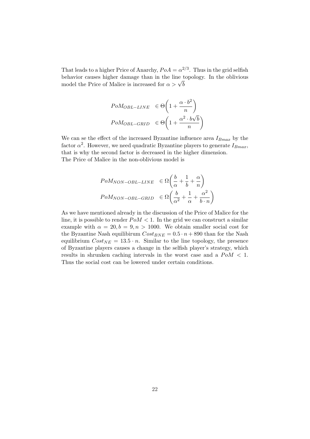That leads to a higher Price of Anarchy,  $PoA = \alpha^{2/3}$ . Thus in the grid selfish behavior causes higher damage than in the line topology. In the oblivious behavior causes higher damage than in the line t<br>model the Price of Malice is increased for  $\alpha > \sqrt{b}$ 

$$
PoM_{OBL-LINE} \in \Theta\left(1 + \frac{\alpha \cdot b^2}{n}\right)
$$

$$
PoM_{OBL-GRID} \in \Theta\left(1 + \frac{\alpha^2 \cdot b\sqrt{b}}{n}\right)
$$

We can se the effect of the increased Byzantine influence area  $I_{Bmax}$  by the factor  $\alpha^2$ . However, we need quadratic Byzantine players to generate  $I_{Bmax}$ , that is why the second factor is decreased in the higher dimension. The Price of Malice in the non-oblivious model is

$$
PoM_{NON-OBL-LINE} \in \Omega \left( \frac{b}{\alpha} + \frac{1}{b} + \frac{\alpha}{n} \right)
$$

$$
PoM_{NON-OBL-GRID} \in \Omega \left( \frac{b}{\alpha^2} + \frac{1}{\alpha} + \frac{\alpha^2}{b \cdot n} \right)
$$

As we have mentioned already in the discussion of the Price of Malice for the line, it is possible to render  $PoM < 1$ . In the grid we can construct a similar example with  $\alpha = 20, b = 9, n > 1000$ . We obtain smaller social cost for the Byzantine Nash equilibirum  $Cost_{BNE} = 0.5 \cdot n + 890$  than for the Nash equilibrium  $Cost_{NE} = 13.5 \cdot n$ . Similar to the line topology, the presence of Byzantine players causes a change in the selfish player's strategy, which results in shrunken caching intervals in the worst case and a  $PoM < 1$ . Thus the social cost can be lowered under certain conditions.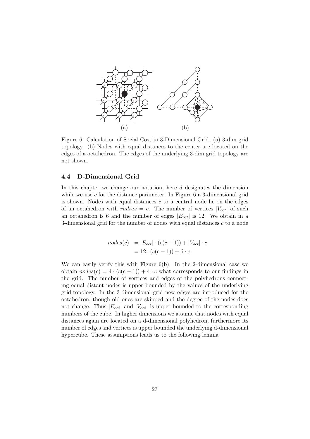

Figure 6: Calculation of Social Cost in 3-Dimensional Grid. (a) 3-dim grid topology. (b) Nodes with equal distances to the center are located on the edges of a octahedron. The edges of the underlying 3-dim grid topology are not shown.

### 4.4 D-Dimensional Grid

In this chapter we change our notation, here d designates the dimension while we use  $c$  for the distance parameter. In Figure 6 a 3-dimensional grid is shown. Nodes with equal distances  $c$  to a central node lie on the edges of an octahedron with *radius* = c. The number of vertices  $|V_{oct}|$  of such an octahedron is 6 and the number of edges  $|E_{oct}|$  is 12. We obtain in a 3-dimensional grid for the number of nodes with equal distances  $c$  to a node

$$
nodes(c) = |E_{oct}| \cdot (c(c-1)) + |V_{oct}| \cdot c
$$

$$
= 12 \cdot (c(c-1)) + 6 \cdot c
$$

We can easily verify this with Figure 6(b). In the 2-dimensional case we obtain  $nodes(c) = 4 \cdot (c(c-1)) + 4 \cdot c$  what corresponds to our findings in the grid. The number of vertices and edges of the polyhedrons connecting equal distant nodes is upper bounded by the values of the underlying grid-topology. In the 3-dimensional grid new edges are introduced for the octahedron, though old ones are skipped and the degree of the nodes does not change. Thus  $|E_{oct}|$  and  $|V_{oct}|$  is upper bounded to the corresponding numbers of the cube. In higher dimensions we assume that nodes with equal distances again are located on a d-dimensional polyhedron, furthermore its number of edges and vertices is upper bounded the underlying d-dimensional hypercube. These assumptions leads us to the following lemma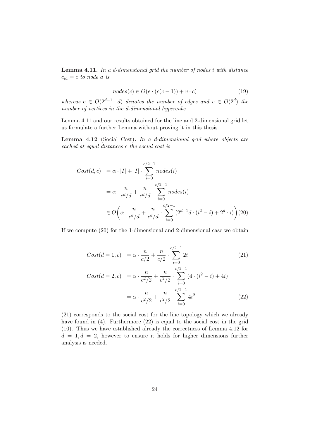Lemma 4.11. In a d-dimensional grid the number of nodes i with distance  $c_{ia} = c$  to node a is

$$
nodes(c) \in O(e \cdot (c(c-1)) + v \cdot c)
$$
\n
$$
(19)
$$

whereas  $e \in O(2^{d-1} \cdot d)$  denotes the number of edges and  $v \in O(2^d)$  the number of vertices in the d-dimensional hypercube.

Lemma 4.11 and our results obtained for the line and 2-dimensional grid let us formulate a further Lemma without proving it in this thesis.

Lemma 4.12 (Social Cost). In a d-dimensional grid where objects are cached at equal distances c the social cost is

$$
Cost(d, c) = \alpha \cdot |I| + |I| \cdot \sum_{i=0}^{c/2-1} nodes(i)
$$
  

$$
= \alpha \cdot \frac{n}{c^d/d} + \frac{n}{c^d/d} \cdot \sum_{i=0}^{c/2-1} nodes(i)
$$
  

$$
\in O\left(\alpha \cdot \frac{n}{c^d/d} + \frac{n}{c^d/d} \cdot \sum_{i=0}^{c/2-1} (2^{d-1}d \cdot (i^2 - i) + 2^d \cdot i)\right)
$$
(20)

If we compute (20) for the 1-dimensional and 2-dimensional case we obtain

$$
Cost(d = 1, c) = \alpha \cdot \frac{n}{c/2} + \frac{n}{c/2} \cdot \sum_{i=0}^{c/2 - 1} 2i
$$
 (21)

$$
Cost(d = 2, c) = \alpha \cdot \frac{n}{c^2/2} + \frac{n}{c^2/2} \cdot \sum_{i=0}^{c/2-1} (4 \cdot (i^2 - i) + 4i)
$$

$$
= \alpha \cdot \frac{n}{c^2/2} + \frac{n}{c^2/2} \cdot \sum_{i=0}^{c/2-1} 4i^2
$$
(22)

(21) corresponds to the social cost for the line topology which we already have found in (4). Furthermore (22) is equal to the social cost in the grid (10). Thus we have established already the correctness of Lemma 4.12 for  $d = 1, d = 2$ , however to ensure it holds for higher dimensions further analysis is needed.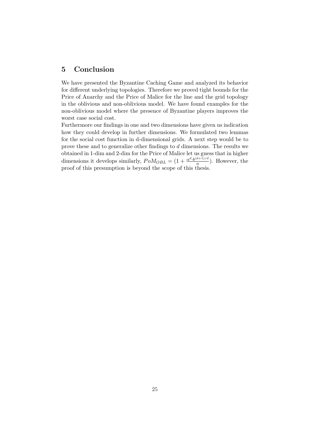## 5 Conclusion

We have presented the Byzantine Caching Game and analyzed its behavior for different underlying topologies. Therefore we proved tight bounds for the Price of Anarchy and the Price of Malice for the line and the grid topology in the oblivious and non-oblivious model. We have found examples for the non-oblivious model where the presence of Byzantine players improves the worst case social cost.

Furthermore our findings in one and two dimensions have given us indication how they could develop in further dimensions. We formulated two lemmas for the social cost function in d-dimensional grids. A next step would be to prove these and to generalize other findings to d dimensions. The results we obtained in 1-dim and 2-dim for the Price of Malice let us guess that in higher dimensions it develops similarly,  $PoM_{OBL} = \left(1 + \frac{\alpha^d \cdot b^{(d+1)/d}}{n}\right)$  $\frac{a+1}{n}$ ). However, the proof of this presumption is beyond the scope of this thesis.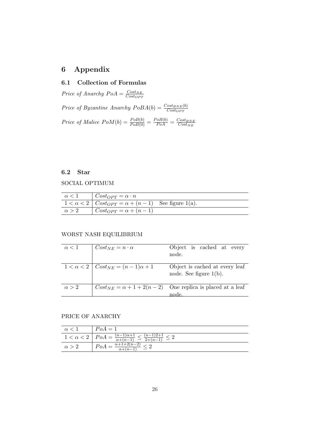# 6 Appendix

### 6.1 Collection of Formulas

Price of Anarchy  $PoA = \frac{Cost_{NE}}{Cost_{SNR}}$  $\overline{Cost_{OPT}}$ 

Price of Byzantine Anarchy  $PoBA(b) = \frac{Cost_{BNE}(b)}{Cost_{OPT}}$ Price of Malice  $PoM(b) = \frac{PoB(b)}{PoB(0)} = \frac{PoB(b)}{PoA} = \frac{Cost_{BNE}}{Cost_{NE}}$  $Cost_{NE}$ 

### 6.2 Star

SOCIAL OPTIMUM

| $\alpha < 1$ | $\int Cost_{OPT} = \alpha \cdot n$                                |  |
|--------------|-------------------------------------------------------------------|--|
|              | $1 < \alpha < 2$   $Cost_{OPT} = \alpha + (n-1)$ See figure 1(a). |  |
| $\alpha > 2$ | $\int Cost_{OPT} = \alpha + (n-1)$                                |  |

### WORST NASH EQUILIBRIUM

| $\alpha$ < 1 | $Cost_{NE} = n \cdot \alpha$                      | Object is cached at every<br>node.                                           |
|--------------|---------------------------------------------------|------------------------------------------------------------------------------|
|              | $1 < \alpha < 2 \mid Cost_{NE} = (n-1)\alpha + 1$ | Object is cached at every leaf<br>node. See figure $1(b)$ .                  |
| $\alpha > 2$ |                                                   | $Cost_{NE} = \alpha + 1 + 2(n - 2)$ One replica is placed at a leaf<br>node. |

### PRICE OF ANARCHY

| $\alpha$ < 1 | $PoA = 1$                                                                                      |
|--------------|------------------------------------------------------------------------------------------------|
|              | $1 < \alpha < 2$   $PoA = \frac{(n-1)\alpha+1}{\alpha+(n-1)} \leq \frac{(n-1)2+1}{2(n-1)} < 2$ |
| $\alpha > 2$ | $-\frac{\alpha+1+2(n+1)}{2}$                                                                   |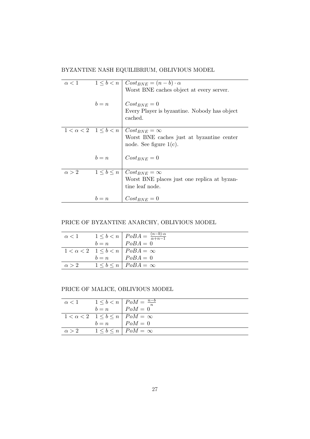BYZANTINE NASH EQUILIBRIUM, OBLIVIOUS MODEL

| $\alpha < 1$ |       | $1 \leq b < n \mid Cost_{BNE} = (n - b) \cdot \alpha$ |
|--------------|-------|-------------------------------------------------------|
|              |       | Worst BNE caches object at every server.              |
|              |       |                                                       |
|              | $b=n$ | $Cost_{BNE} = 0$                                      |
|              |       | Every Player is byzantine. Nobody has object          |
|              |       | cached.                                               |
|              |       |                                                       |
|              |       | $1 < \alpha < 2$ $1 \leq b < n$ $Cost_{BNE} = \infty$ |
|              |       | Worst BNE caches just at byzantine center             |
|              |       | node. See figure $1(c)$ .                             |
|              |       |                                                       |
|              | $b=n$ | $\big  Cost_{BNE} = 0$                                |
|              |       |                                                       |
| $\alpha > 2$ |       | $1 \leq b \leq n \mid Cost_{BNE} = \infty$            |
|              |       | Worst BNE places just one replica at byzan-           |
|              |       | tine leaf node.                                       |
|              |       |                                                       |
|              | $b=n$ | $Cost_{BNE} = 0$                                      |
|              |       |                                                       |

# PRICE OF BYZANTINE ANARCHY, OBLIVIOUS MODEL

|  | $\alpha < 1$ $1 \le b < n$ $PoBA = \frac{(n-b)\alpha}{\alpha+n-1}$<br>$b = n$ $PoBA = 0$ |
|--|------------------------------------------------------------------------------------------|
|  |                                                                                          |
|  | $1 < \alpha < 2$ $1 \leq b < n$ $PoBA = \infty$                                          |
|  | $b = n$ $\big  PoBA = 0$                                                                 |
|  | $\alpha > 2$ $1 < b < n$ $PoBA = \infty$                                                 |

PRICE OF MALICE, OBLIVIOUS MODEL

|              | $\alpha < 1$ $1 \leq b < n$ $\mid P \circ M = \frac{n-b}{n}$ |
|--------------|--------------------------------------------------------------|
|              | $b=n$ $PoM=0$                                                |
|              | $1 < \alpha < 2$ $1 \leq b \leq n$   $PoM = \infty$          |
|              | $b=n$ $PoM=0$                                                |
| $\alpha > 2$ | $1 \leq b \leq n$   $PoM = \infty$                           |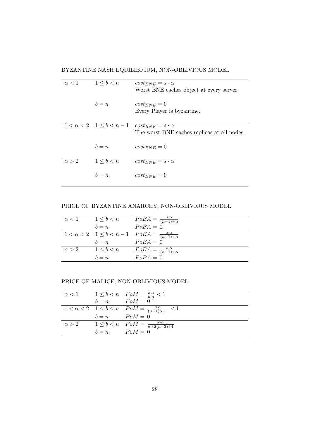BYZANTINE NASH EQUILIBRIUM, NON-OBLIVIOUS MODEL

| $\alpha < 1$ | $1 \leq b \leq n$ | $cost_{BNE} = s \cdot \alpha$                                     |
|--------------|-------------------|-------------------------------------------------------------------|
|              |                   | Worst BNE caches object at every server.                          |
|              |                   |                                                                   |
|              | $b=n$             | $cost_{BNE} = 0$                                                  |
|              |                   | Every Player is byzantine.                                        |
|              |                   |                                                                   |
|              |                   | $1 < \alpha < 2$ $1 \leq b < n-1$   $cost_{BNE} = s \cdot \alpha$ |
|              |                   | The worst BNE caches replicas at all nodes.                       |
|              |                   |                                                                   |
|              | $b = n$           | $cost_{BNE} = 0$                                                  |
|              |                   |                                                                   |
| $\alpha > 2$ | $1 \leq b < n$    | $cost_{BNE} = s \cdot \alpha$                                     |
|              |                   |                                                                   |
|              | $b = n$           | $cost_{BNE} = 0$                                                  |
|              |                   |                                                                   |

PRICE OF BYZANTINE ANARCHY, NON-OBLIVIOUS MODEL

| $\alpha < 1$ $1 \leq b < n$    | $\begin{array}{ c c } PoBA = \frac{s \cdot \alpha}{(n-1)+\alpha} \\ PoBA = 0 \end{array}$ |
|--------------------------------|-------------------------------------------------------------------------------------------|
| $b = n$                        |                                                                                           |
|                                | $1 < \alpha < 2$ $1 \le b < n-1$ $PoBA = \frac{s \cdot \alpha}{(n-1)+\alpha}$             |
| $b = n$                        | $PoBA = 0$                                                                                |
| $\alpha > 2$ $1 \leq b \leq n$ | $PoBA = \frac{s \cdot \alpha}{(n-1)+\alpha}$                                              |
| $b=n$                          | $PoBA = 0$                                                                                |

PRICE OF MALICE, NON-OBLIVIOUS MODEL

|  | $\alpha < 1$ $1 \leq b < n$ $\bigg\vert$ $\begin{array}{c} PoM = \frac{s \cdot \alpha}{n \cdot \alpha} < 1 \\ PoM = 0 \end{array}$                                                                                                     |
|--|----------------------------------------------------------------------------------------------------------------------------------------------------------------------------------------------------------------------------------------|
|  |                                                                                                                                                                                                                                        |
|  | $1 < \alpha < 2$ $1 \le b \le n$ $\bigg $ $\begin{array}{c} PoM = \frac{s \cdot \alpha}{(n-1)\alpha + 1} < 1 \\ b = n \end{array}$ $\bigg $ $\begin{array}{c} PoM = \frac{s \cdot \alpha}{(n-1)\alpha + 1} < 1 \\ PoM = 0 \end{array}$ |
|  |                                                                                                                                                                                                                                        |
|  | $\alpha > 2$ $1 \leq b < n$ $\boxed{PoM = \frac{s \cdot \alpha}{\alpha + 2(n-2)+1}}$                                                                                                                                                   |
|  | $b=n$ $PoM=0$                                                                                                                                                                                                                          |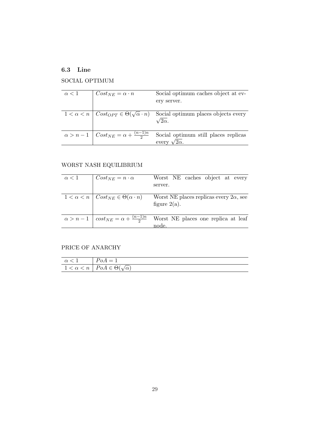# 6.3 Line

# SOCIAL OPTIMUM

| $\alpha < 1$ | $Cost_{NE} = \alpha \cdot n$                             | Social optimum caches object at ev-<br>ery server.                                                     |
|--------------|----------------------------------------------------------|--------------------------------------------------------------------------------------------------------|
|              |                                                          |                                                                                                        |
|              |                                                          | $1 < \alpha < n \mid Cost_{OPT} \in \Theta(\sqrt{\alpha} \cdot n)$ Social optimum places objects every |
|              |                                                          | $^{\prime}2\alpha.$                                                                                    |
|              |                                                          |                                                                                                        |
|              | $\alpha > n-1$   $Cost_{NE} = \alpha + \frac{(n-1)n}{2}$ | Social optimum still places replicas                                                                   |
|              |                                                          | every $\sqrt{2\alpha}$ .                                                                               |

# WORST NASH EQUILIBRIUM

| $\alpha < 1$ | $Cost_{NE} = n \cdot \alpha$                               | Worst NE caches object at every<br>server.                                                            |
|--------------|------------------------------------------------------------|-------------------------------------------------------------------------------------------------------|
|              | $1 < \alpha < n \mid Cost_{NE} \in \Theta(\alpha \cdot n)$ | Worst NE places replicas every $2\alpha$ , see                                                        |
|              |                                                            | figure $2(a)$ .                                                                                       |
|              |                                                            | $\alpha > n-1$ $\cos t_{NE} = \alpha + \frac{(n-1)n}{2}$ Worst NE places one replica at leaf<br>node. |

# PRICE OF ANARCHY

| $\alpha$ < 1   $PoA = 1$ |                                                     |
|--------------------------|-----------------------------------------------------|
|                          | $1 < \alpha < n \mid PoA \in \Theta(\sqrt{\alpha})$ |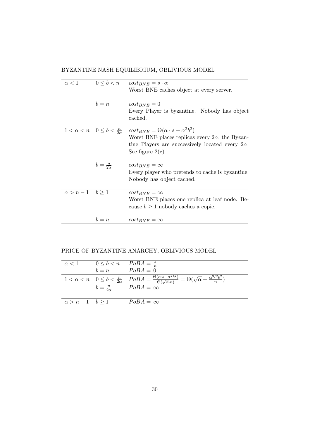BYZANTINE NASH EQUILIBRIUM, OBLIVIOUS MODEL

| $\alpha < 1$             |                       | $0 \leq b < n$ $cost_{BNE} = s \cdot \alpha$                                                            |
|--------------------------|-----------------------|---------------------------------------------------------------------------------------------------------|
|                          |                       | Worst BNE caches object at every server.                                                                |
|                          | $b=n$                 | $cost_{BNE} = 0$                                                                                        |
|                          |                       | Every Player is byzantine. Nobody has object                                                            |
|                          |                       | cached.                                                                                                 |
|                          |                       | $1 < \alpha < n \mid 0 \leq b < \frac{n}{2\alpha}$ $cost_{BNE} = \Theta(\alpha \cdot s + \alpha^2 b^2)$ |
|                          |                       | Worst BNE places replicas every $2\alpha$ , the Byzan-                                                  |
|                          |                       | tine Players are successively located every $2\alpha$ .                                                 |
|                          |                       | See figure $2(c)$ .                                                                                     |
|                          | $b=\frac{n}{2\alpha}$ | $cost_{BNE} = \infty$                                                                                   |
|                          |                       | Every player who pretends to cache is byzantine.                                                        |
|                          |                       | Nobody has object cached.                                                                               |
| $\alpha > n-1$   $b > 1$ |                       | $cost_{BNE} = \infty$                                                                                   |
|                          |                       | Worst BNE places one replica at leaf node. Be-                                                          |
|                          |                       | cause $b \ge 1$ nobody caches a copie.                                                                  |
|                          | $b = n$               | $cost_{BNE} = \infty$                                                                                   |

# PRICE OF BYZANTINE ANARCHY, OBLIVIOUS MODEL

|  | $\alpha < 1$ $\begin{array}{ccc} 0 \leq b < n & PoBA = \frac{s}{n} \\ b = n & PoBA = 0 \end{array}$ |
|--|-----------------------------------------------------------------------------------------------------|
|  | $1<\alpha$                                                                                          |
|  | $\alpha > n-1$   $b \ge 1$ $PoBA = \infty$                                                          |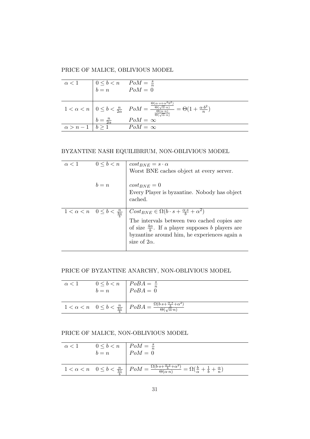PRICE OF MALICE, OBLIVIOUS MODEL

| $\alpha < 1$ | $\begin{array}{ccc} 0 \leq b < n & P o M = \frac{s}{n} \\ b = n & P o M = 0 \end{array}$ |                                                                                                                                                                                                                                                                                            |
|--------------|------------------------------------------------------------------------------------------|--------------------------------------------------------------------------------------------------------------------------------------------------------------------------------------------------------------------------------------------------------------------------------------------|
|              |                                                                                          | $1 < \alpha < n$ $0 \le b < \frac{n}{2\alpha}$ $PoM = \frac{\frac{\Theta(\alpha \cdot s + \alpha^2 b^2)}{\Theta(\sqrt{\alpha} \cdot n)}}{\frac{\Theta(\alpha \cdot n)}{\Theta(\sqrt{\alpha} \cdot n)}} = \Theta(1 + \frac{\alpha \cdot b^2}{n})$<br>$b = \frac{n}{2\alpha}$ $PoM = \infty$ |
|              | $\alpha > n-1$   $b > 1$ $PoM = \infty$                                                  |                                                                                                                                                                                                                                                                                            |

## BYZANTINE NASH EQUILIBRIUM, NON-OBLIVIOUS MODEL

| $\alpha < 1$ | $0 \leq b < n$                                  | $cost_{BNE} = s \cdot \alpha$<br>Worst BNE caches object at every server.                                                                                                                                                                                                |
|--------------|-------------------------------------------------|--------------------------------------------------------------------------------------------------------------------------------------------------------------------------------------------------------------------------------------------------------------------------|
|              | $b=n$                                           | $cost_{BNE} = 0$<br>Every Player is byzantine. Nobody has object<br>cached.                                                                                                                                                                                              |
|              | $1 < \alpha < n$ $0 \leq b < \frac{n}{4\alpha}$ | $\big  Cost_{BNE} \in \Omega(b \cdot s + \frac{\alpha \cdot s}{b} + \alpha^2)$<br>The intervals between two cached copies are<br>of size $\frac{4\alpha}{b}$ . If a player supposes b players are<br>byzantine around him, he experiences again a<br>size of $2\alpha$ . |

## PRICE OF BYZANTINE ANARCHY, NON-OBLIVIOUS MODEL

| $\alpha$ < 1 | $0 \leq b < n$   $PoBA = \frac{s}{n}$<br>$b=n$ | $PoBA = \overset{n}{0}$                                                                                                                                                                      |
|--------------|------------------------------------------------|----------------------------------------------------------------------------------------------------------------------------------------------------------------------------------------------|
|              |                                                | $\boxed{1 < \alpha < n \quad 0 \leq b < \frac{n}{\frac{4\alpha}{\alpha}} \quad \boxed{PoBA = \frac{\Omega(b \cdot s + \frac{\alpha \cdot s}{b} + \alpha^2)}{\Theta(\sqrt{\alpha} \cdot n)}}$ |

## PRICE OF MALICE, NON-OBLIVIOUS MODEL

| $\alpha < 1$ | $\begin{array}{c c}\n0 \leq b < n & PoM = \frac{s}{n} \\ b = n & PoM = 0\n\end{array}$ |                                                                                                                                                                                                            |
|--------------|----------------------------------------------------------------------------------------|------------------------------------------------------------------------------------------------------------------------------------------------------------------------------------------------------------|
|              |                                                                                        | $1 < \alpha < n$ $0 \leq b < \frac{n}{4\alpha}$ $PoM = \frac{\Omega(b \cdot s + \frac{\alpha \cdot s}{b} + \alpha^2)}{\Theta(\alpha \cdot n)} = \Omega(\frac{b}{\alpha} + \frac{1}{b} + \frac{\alpha}{n})$ |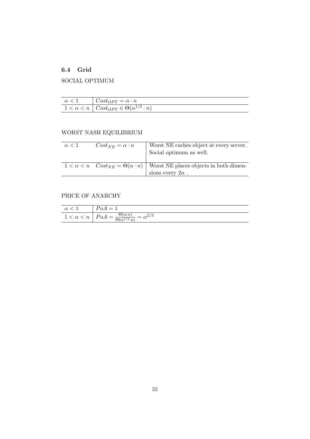# 6.4 Grid

# SOCIAL OPTIMUM

| $\alpha < 1$ $Cost_{OPT} = \alpha \cdot n$                        |
|-------------------------------------------------------------------|
| $1 < \alpha < n \mid Cost_{OPT} \in \Theta(\alpha^{1/3} \cdot n)$ |

# WORST NASH EQUILIBRIUM

| $\alpha < 1$ | $Cost_{NE} = \alpha \cdot n$ | Worst NE caches object at every server.<br>Social optimum as well.                                    |
|--------------|------------------------------|-------------------------------------------------------------------------------------------------------|
|              |                              | $1 < \alpha < n$ Cost <sub>NE</sub> = $\Theta(\alpha \cdot n)$ Worst NE places objects in both dimen- |
|              |                              | sions every $2\alpha$ .                                                                               |

# PRICE OF ANARCHY

|                         | $=$ $\pm$                                                                                                                      |
|-------------------------|--------------------------------------------------------------------------------------------------------------------------------|
| $\,n$<br>$1 < \alpha <$ | $\Theta(\alpha \cdot n)$<br>$\alpha = \alpha^{2/3}$<br>$PoA =$<br>$\overline{\sim}$ $\sqrt{1/2}$<br>$\cap$<br>$H \sim 10^{-1}$ |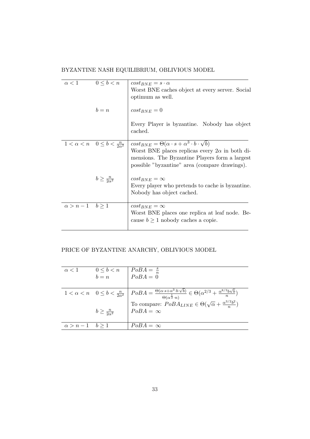BYZANTINE NASH EQUILIBRIUM, OBLIVIOUS MODEL

| $\alpha < 1$              | $0 \leq b < n$               | $\cos t_{BNE} = s \cdot \alpha$<br>Worst BNE caches object at every server. Social                                                                                                                                                                                                      |
|---------------------------|------------------------------|-----------------------------------------------------------------------------------------------------------------------------------------------------------------------------------------------------------------------------------------------------------------------------------------|
|                           |                              | optimum as well.                                                                                                                                                                                                                                                                        |
|                           | $b = n$                      | $cost_{BNE} = 0$                                                                                                                                                                                                                                                                        |
|                           |                              | Every Player is byzantine. Nobody has object<br>cached.                                                                                                                                                                                                                                 |
|                           |                              | $1 < \alpha < n$ $0 \leq b < \frac{n}{2\alpha^2}$ $\cos t_{BNE} = \Theta(\alpha \cdot s + \alpha^3 \cdot b \cdot \sqrt{b})$<br>Worst BNE places replicas every $2\alpha$ in both di-<br>mensions. The Byzantine Players form a largest<br>possible "byzantine" area (compare drawings). |
|                           | $b \geq \frac{n}{2\alpha^2}$ | $cost_{BNE} = \infty$<br>Every player who pretends to cache is byzantine.<br>Nobody has object cached.                                                                                                                                                                                  |
| $\alpha > n-1$ $b \geq 1$ |                              | $cost_{BNE} = \infty$<br>Worst BNE places one replica at leaf node. Be-<br>cause $b \ge 1$ nobody caches a copie.                                                                                                                                                                       |

# PRICE OF BYZANTINE ANARCHY, OBLIVIOUS MODEL

| $\alpha < 1$           | $0 \leq b < n$ $\begin{array}{c} 0 \leq b < n \\ b = n \end{array}$ $\begin{array}{c} PoBA = \frac{s}{n} \\ PoBA = 0 \end{array}$ |                                                                                                    |
|------------------------|-----------------------------------------------------------------------------------------------------------------------------------|----------------------------------------------------------------------------------------------------|
|                        |                                                                                                                                   | $\boxed{1<\alpha$                                                                                  |
|                        | $b \geq \frac{n}{2\alpha^2}$                                                                                                      | To compare: $PoBA_{LINE} \in \Theta(\sqrt{\alpha} + \frac{\alpha^{3/2}b^2}{n})$<br>$PoBA = \infty$ |
| $\alpha > n-1$ $b > 1$ |                                                                                                                                   | $PoBA = \infty$                                                                                    |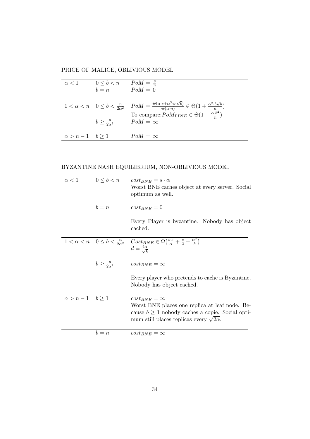PRICE OF MALICE, OBLIVIOUS MODEL

|                        | $\alpha < 1$ $0 \le b < n$ $\begin{array}{c}$ $PoM = \frac{s}{n} \\ b = n \end{array}$ $PoM = 0$ |                               |
|------------------------|--------------------------------------------------------------------------------------------------|-------------------------------|
|                        |                                                                                                  | $\begin{array}{c c} 1<\alpha$ |
|                        | $b \geq \frac{n}{2\alpha^2}$                                                                     | $POM = \infty$                |
| $\alpha > n-1$ $b > 1$ |                                                                                                  | $PoM = \infty$                |

BYZANTINE NASH EQUILIBRIUM, NON-OBLIVIOUS MODEL

| $\alpha < 1$              | $0 \leq b < n$               | $\cos t_{BNE} = s \cdot \alpha$                                                                                                                                                                                       |
|---------------------------|------------------------------|-----------------------------------------------------------------------------------------------------------------------------------------------------------------------------------------------------------------------|
|                           |                              | Worst BNE caches object at every server. Social                                                                                                                                                                       |
|                           |                              | optimum as well.                                                                                                                                                                                                      |
|                           | $b=n$                        | $cost_{BNE} = 0$                                                                                                                                                                                                      |
|                           |                              | Every Player is byzantine. Nobody has object<br>cached.                                                                                                                                                               |
|                           |                              | $1 < \alpha < n$ $0 \leq b < \frac{n}{2\alpha^2} \left( \frac{\text{Cost}_{BNE}}{4\alpha} \in \Omega\left(\frac{b \cdot s}{\alpha} + \frac{s}{2} + \frac{\alpha^3}{b}\right) \right)$<br>$d=\frac{4\alpha}{\sqrt{b}}$ |
|                           | $b \geq \frac{n}{2\alpha^2}$ | $cost_{BNE} = \infty$                                                                                                                                                                                                 |
|                           |                              | Every player who pretends to cache is Byzantine.<br>Nobody has object cached.                                                                                                                                         |
| $\alpha > n-1$ $b \geq 1$ |                              | $cost_{BNE} = \infty$<br>Worst BNE places one replica at leaf node. Be-<br>cause $b \ge 1$ nobody caches a copie. Social opti-<br>mum still places replicas every $\sqrt{2\alpha}$ .                                  |
|                           | $b=n$                        | $cost_{BNE} = \infty$                                                                                                                                                                                                 |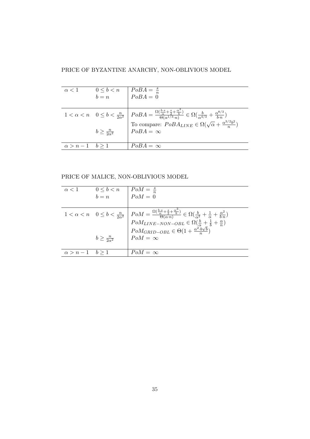PRICE OF BYZANTINE ANARCHY, NON-OBLIVIOUS MODEL

|                        | $\alpha < 1$ $0 \le b < n$ $PoB\overline{A} = \frac{s}{n}$<br>$b = n$ $PoBA = 0$ |                                                                                                                                                                                                                                                                                                                                                                                                                         |
|------------------------|----------------------------------------------------------------------------------|-------------------------------------------------------------------------------------------------------------------------------------------------------------------------------------------------------------------------------------------------------------------------------------------------------------------------------------------------------------------------------------------------------------------------|
|                        |                                                                                  | $\begin{array}{c c} 1<\alpha < n & 0\leq b < \frac{n}{2\alpha^2} \end{array} \left  \begin{array}{c} PoBA = \frac{\Omega(\frac{b \cdot s}{\alpha} + \frac{s}{2} + \frac{\alpha^3}{b})}{\Theta(\alpha^{1/3} \cdot n)} \in \Omega(\frac{b}{\alpha^{4/3}} + \frac{\alpha^{8/3}}{b \cdot n}) \\ \text{To compare: } PoBA_{LINE} \in \Omega(\sqrt{\alpha} + \frac{\alpha^{3/2}b^2}{n}) \\ PoBA = \infty \end{array} \right.$ |
|                        |                                                                                  |                                                                                                                                                                                                                                                                                                                                                                                                                         |
| $\alpha > n-1$ $b > 1$ |                                                                                  | $PoBA = \infty$                                                                                                                                                                                                                                                                                                                                                                                                         |

PRICE OF MALICE, NON-OBLIVIOUS MODEL

|                        | $\alpha < 1$ $0 \le b < n$ $\begin{array}{c}$ $PoM = \frac{s}{n} \\ b = n \end{array}$ $PoM = 0$ |                             |
|------------------------|--------------------------------------------------------------------------------------------------|-----------------------------|
|                        |                                                                                                  |                             |
|                        |                                                                                                  | $\begin{array}{c} 1<\alpha$ |
|                        |                                                                                                  |                             |
|                        |                                                                                                  |                             |
|                        | $b \geq \frac{n}{2\alpha^2}$                                                                     | $PoM = \infty$              |
|                        |                                                                                                  |                             |
| $\alpha > n-1$ $b > 1$ |                                                                                                  | $PoM = \infty$              |